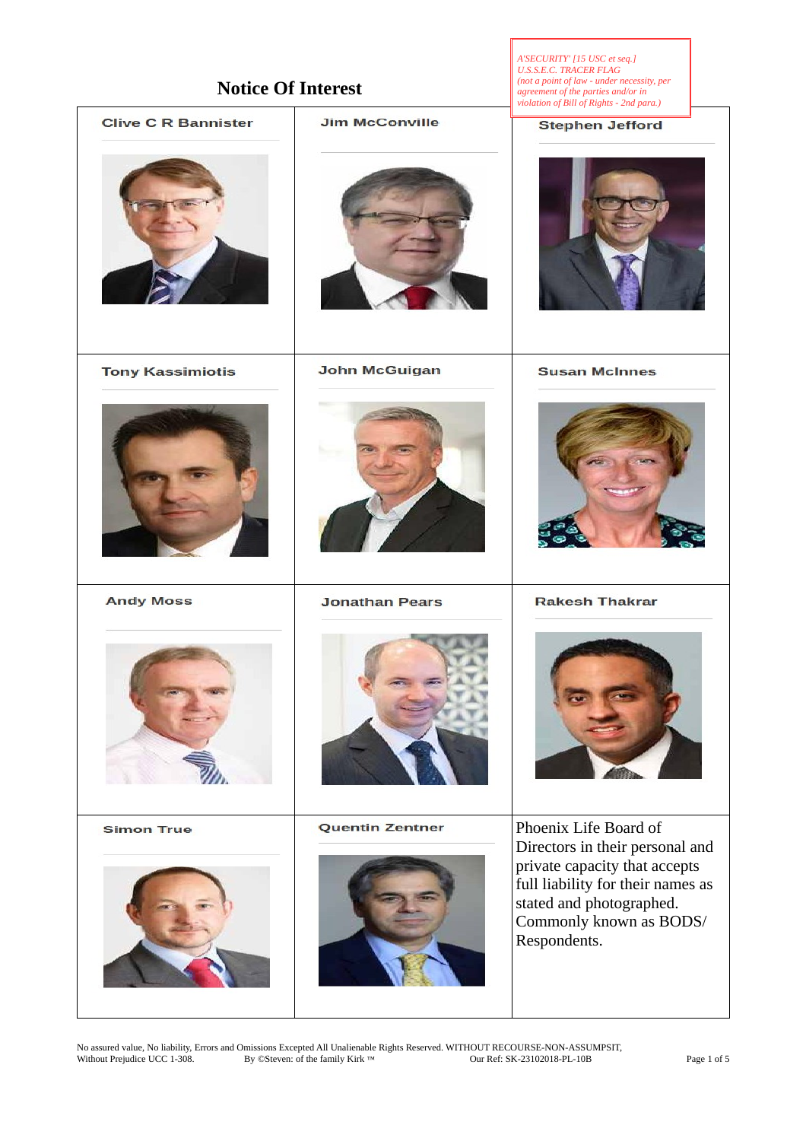| <b>Notice Of Interest</b>  |                        | A'SECURITY' [15 USC et seq.]<br>U.S.S.E.C. TRACER FLAG<br>(not a point of law - under necessity, per<br>agreement of the parties and/or in<br>violation of Bill of Rights - 2nd para.) |
|----------------------------|------------------------|----------------------------------------------------------------------------------------------------------------------------------------------------------------------------------------|
| <b>Clive C R Bannister</b> | <b>Jim McConville</b>  | <b>Stephen Jefford</b>                                                                                                                                                                 |
|                            |                        |                                                                                                                                                                                        |
| <b>Tony Kassimiotis</b>    | <b>John McGuigan</b>   | <b>Susan McInnes</b>                                                                                                                                                                   |
|                            |                        |                                                                                                                                                                                        |
| <b>Andy Moss</b>           | <b>Jonathan Pears</b>  | <b>Rakesh Thakrar</b>                                                                                                                                                                  |
|                            |                        |                                                                                                                                                                                        |
| <b>Simon True</b>          | <b>Quentin Zentner</b> | Phoenix Life Board of                                                                                                                                                                  |
|                            |                        | Directors in their personal and<br>private capacity that accepts<br>full liability for their names as<br>stated and photographed.<br>Commonly known as BODS/<br>Respondents.           |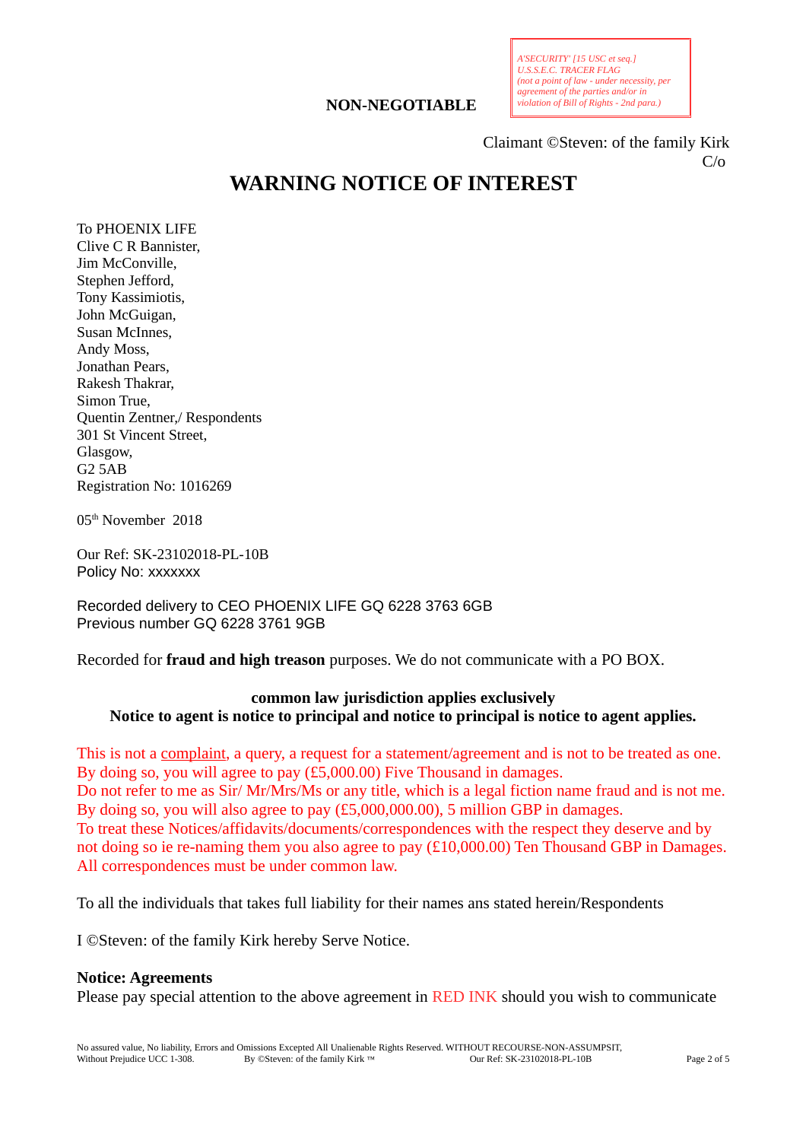## **NON-NEGOTIABLE**

Claimant ©Steven: of the family Kirk  $C/0$ 

# **WARNING NOTICE OF INTEREST**

To PHOENIX LIFE Clive C R Bannister, Jim McConville, Stephen Jefford, Tony Kassimiotis, John McGuigan, Susan McInnes, Andy Moss, Jonathan Pears, Rakesh Thakrar, Simon True, Quentin Zentner,/ Respondents 301 St Vincent Street, Glasgow, G2 5AB Registration No: 1016269

05th November 2018

Our Ref: SK-23102018-PL-10B Policy No: xxxxxxx

Recorded delivery to CEO PHOENIX LIFE GQ 6228 3763 6GB Previous number GQ 6228 3761 9GB

Recorded for **fraud and high treason** purposes. We do not communicate with a PO BOX.

## **common law jurisdiction applies exclusively Notice to agent is notice to principal and notice to principal is notice to agent applies.**

This is not a complaint, a query, a request for a statement/agreement and is not to be treated as one. By doing so, you will agree to pay (£5,000.00) Five Thousand in damages. Do not refer to me as Sir/ Mr/Mrs/Ms or any title, which is a legal fiction name fraud and is not me. By doing so, you will also agree to pay (£5,000,000.00), 5 million GBP in damages. To treat these Notices/affidavits/documents/correspondences with the respect they deserve and by not doing so ie re-naming them you also agree to pay (£10,000.00) Ten Thousand GBP in Damages. All correspondences must be under common law.

To all the individuals that takes full liability for their names ans stated herein/Respondents

I ©Steven: of the family Kirk hereby Serve Notice.

#### **Notice: Agreements**

Please pay special attention to the above agreement in RED INK should you wish to communicate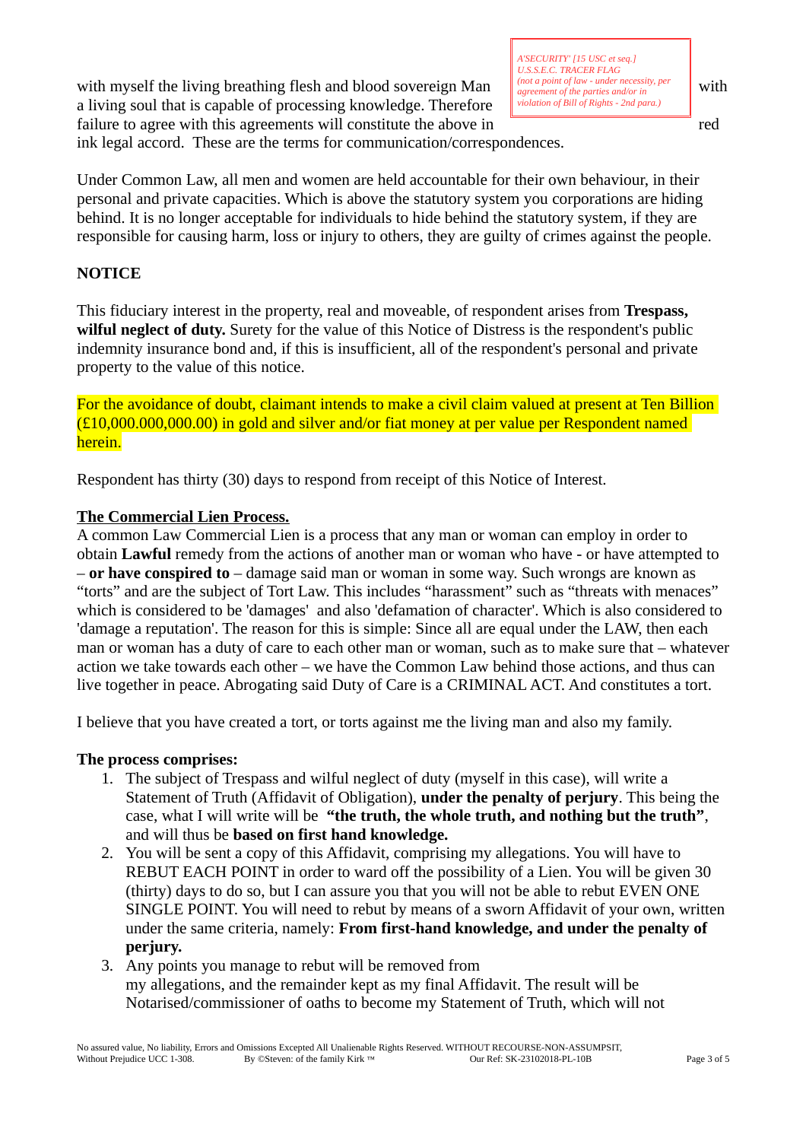with myself the living breathing flesh and blood sovereign Man  $\|\int_{\text{coroement of the particle and/or in}}^{\text{not of law - under necessity, per}} \|$  with a living soul that is capable of processing knowledge. Therefore failure to agree with this agreements will constitute the above in red

ink legal accord. These are the terms for communication/correspondences.

Under Common Law, all men and women are held accountable for their own behaviour, in their personal and private capacities. Which is above the statutory system you corporations are hiding behind. It is no longer acceptable for individuals to hide behind the statutory system, if they are responsible for causing harm, loss or injury to others, they are guilty of crimes against the people.

# **NOTICE**

This fiduciary interest in the property, real and moveable, of respondent arises from **Trespass, wilful neglect of duty.** Surety for the value of this Notice of Distress is the respondent's public indemnity insurance bond and, if this is insufficient, all of the respondent's personal and private property to the value of this notice.

For the avoidance of doubt, claimant intends to make a civil claim valued at present at Ten Billion (£10,000.000,000.00) in gold and silver and/or fiat money at per value per Respondent named herein.

Respondent has thirty (30) days to respond from receipt of this Notice of Interest.

## **The Commercial Lien Process.**

A common Law Commercial Lien is a process that any man or woman can employ in order to obtain **Lawful** remedy from the actions of another man or woman who have - or have attempted to – **or have conspired to** – damage said man or woman in some way. Such wrongs are known as "torts" and are the subject of Tort Law. This includes "harassment" such as "threats with menaces" which is considered to be 'damages' and also 'defamation of character'. Which is also considered to 'damage a reputation'. The reason for this is simple: Since all are equal under the LAW, then each man or woman has a duty of care to each other man or woman, such as to make sure that – whatever action we take towards each other – we have the Common Law behind those actions, and thus can live together in peace. Abrogating said Duty of Care is a CRIMINAL ACT. And constitutes a tort.

I believe that you have created a tort, or torts against me the living man and also my family.

## **The process comprises:**

- 1. The subject of Trespass and wilful neglect of duty (myself in this case), will write a Statement of Truth (Affidavit of Obligation), **under the penalty of perjury**. This being the case, what I will write will be **"the truth, the whole truth, and nothing but the truth"**, and will thus be **based on first hand knowledge.**
- 2. You will be sent a copy of this Affidavit, comprising my allegations. You will have to REBUT EACH POINT in order to ward off the possibility of a Lien. You will be given 30 (thirty) days to do so, but I can assure you that you will not be able to rebut EVEN ONE SINGLE POINT. You will need to rebut by means of a sworn Affidavit of your own, written under the same criteria, namely: **From first-hand knowledge, and under the penalty of perjury.**
- 3. Any points you manage to rebut will be removed from my allegations, and the remainder kept as my final Affidavit. The result will be Notarised/commissioner of oaths to become my Statement of Truth, which will not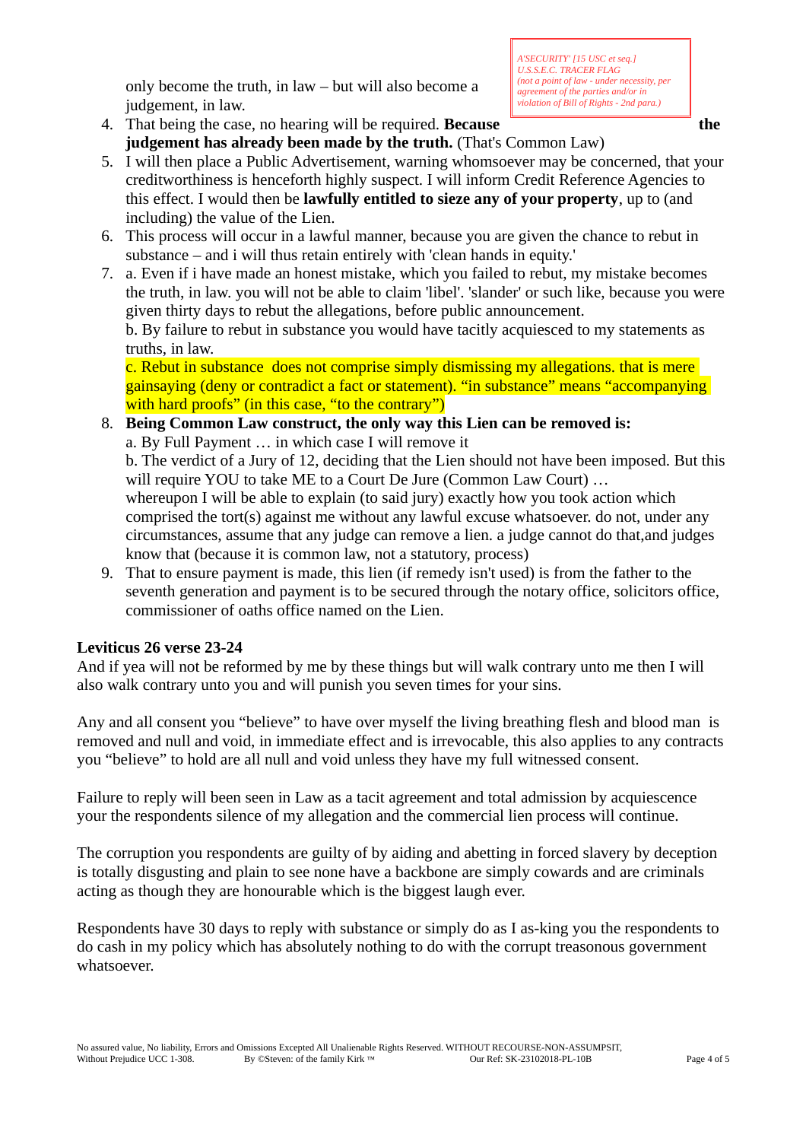only become the truth, in law – but will also become a judgement, in law.

*A'SECURITY' [15 USC et seq.] U.S.S.E.C. TRACER FLAG (not a point of law - under necessity, per agreement of the parties and/or in violation of Bill of Rights - 2nd para.)*

- 4. That being the case, no hearing will be required. **Because the judgement has already been made by the truth.** (That's Common Law)
- 5. I will then place a Public Advertisement, warning whomsoever may be concerned, that your creditworthiness is henceforth highly suspect. I will inform Credit Reference Agencies to this effect. I would then be **lawfully entitled to sieze any of your property**, up to (and including) the value of the Lien.
- 6. This process will occur in a lawful manner, because you are given the chance to rebut in substance – and i will thus retain entirely with 'clean hands in equity.'
- 7. a. Even if i have made an honest mistake, which you failed to rebut, my mistake becomes the truth, in law. you will not be able to claim 'libel'. 'slander' or such like, because you were given thirty days to rebut the allegations, before public announcement. b. By failure to rebut in substance you would have tacitly acquiesced to my statements as truths, in law.

c. Rebut in substance does not comprise simply dismissing my allegations. that is mere gainsaying (deny or contradict a fact or statement). "in substance" means "accompanying with hard proofs" (in this case, "to the contrary")

8. **Being Common Law construct, the only way this Lien can be removed is:** a. By Full Payment … in which case I will remove it b. The verdict of a Jury of 12, deciding that the Lien should not have been imposed. But this will require YOU to take ME to a Court De Jure (Common Law Court) ... whereupon I will be able to explain (to said jury) exactly how you took action which comprised the tort(s) against me without any lawful excuse whatsoever. do not, under any circumstances, assume that any judge can remove a lien. a judge cannot do that,and judges know that (because it is common law, not a statutory, process)

9. That to ensure payment is made, this lien (if remedy isn't used) is from the father to the seventh generation and payment is to be secured through the notary office, solicitors office, commissioner of oaths office named on the Lien.

# **Leviticus 26 verse 23-24**

And if yea will not be reformed by me by these things but will walk contrary unto me then I will also walk contrary unto you and will punish you seven times for your sins.

Any and all consent you "believe" to have over myself the living breathing flesh and blood man is removed and null and void, in immediate effect and is irrevocable, this also applies to any contracts you "believe" to hold are all null and void unless they have my full witnessed consent.

Failure to reply will been seen in Law as a tacit agreement and total admission by acquiescence your the respondents silence of my allegation and the commercial lien process will continue.

The corruption you respondents are guilty of by aiding and abetting in forced slavery by deception is totally disgusting and plain to see none have a backbone are simply cowards and are criminals acting as though they are honourable which is the biggest laugh ever.

Respondents have 30 days to reply with substance or simply do as I as-king you the respondents to do cash in my policy which has absolutely nothing to do with the corrupt treasonous government whatsoever.